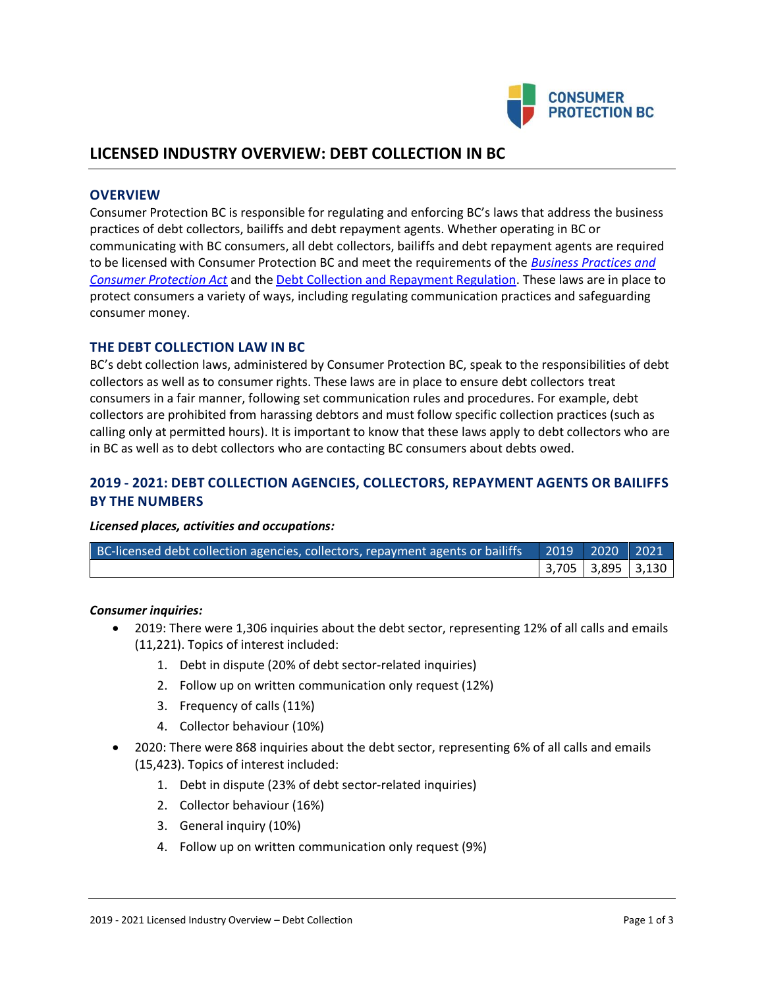

# **LICENSED INDUSTRY OVERVIEW: DEBT COLLECTION IN BC**

### **OVERVIEW**

Consumer Protection BC is responsible for regulating and enforcing BC's laws that address the business practices of debt collectors, bailiffs and debt repayment agents. Whether operating in BC or communicating with BC consumers, all debt collectors, bailiffs and debt repayment agents are required to be licensed with Consumer Protection BC and meet the requirements of the *[Business Practices and](http://www.bclaws.ca/EPLibraries/bclaws_new/document/ID/freeside/04002_00)  [Consumer Protection Act](http://www.bclaws.ca/EPLibraries/bclaws_new/document/ID/freeside/04002_00)* and th[e Debt Collection and Repayment Regulation.](http://www.bclaws.ca/EPLibraries/bclaws_new/document/ID/freeside/12_295_2004) These laws are in place to protect consumers a variety of ways, including regulating communication practices and safeguarding consumer money.

## **THE DEBT COLLECTION LAW IN BC**

BC's debt collection laws, administered by Consumer Protection BC, speak to the responsibilities of debt collectors as well as to consumer rights. These laws are in place to ensure debt collectors treat consumers in a fair manner, following set communication rules and procedures. For example, debt collectors are prohibited from harassing debtors and must follow specific collection practices (such as calling only at permitted hours). It is important to know that these laws apply to debt collectors who are in BC as well as to debt collectors who are contacting BC consumers about debts owed.

## **2019 - 2021: DEBT COLLECTION AGENCIES, COLLECTORS, REPAYMENT AGENTS OR BAILIFFS BY THE NUMBERS**

#### *Licensed places, activities and occupations:*

| BC-licensed debt collection agencies, collectors, repayment agents or bailiffs   2019 2020 2021 |                   |  |
|-------------------------------------------------------------------------------------------------|-------------------|--|
|                                                                                                 | 3,705 3,895 3,130 |  |

#### *Consumer inquiries:*

- 2019: There were 1,306 inquiries about the debt sector, representing 12% of all calls and emails (11,221). Topics of interest included:
	- 1. Debt in dispute (20% of debt sector-related inquiries)
	- 2. Follow up on written communication only request (12%)
	- 3. Frequency of calls (11%)
	- 4. Collector behaviour (10%)
- 2020: There were 868 inquiries about the debt sector, representing 6% of all calls and emails (15,423). Topics of interest included:
	- 1. Debt in dispute (23% of debt sector-related inquiries)
	- 2. Collector behaviour (16%)
	- 3. General inquiry (10%)
	- 4. Follow up on written communication only request (9%)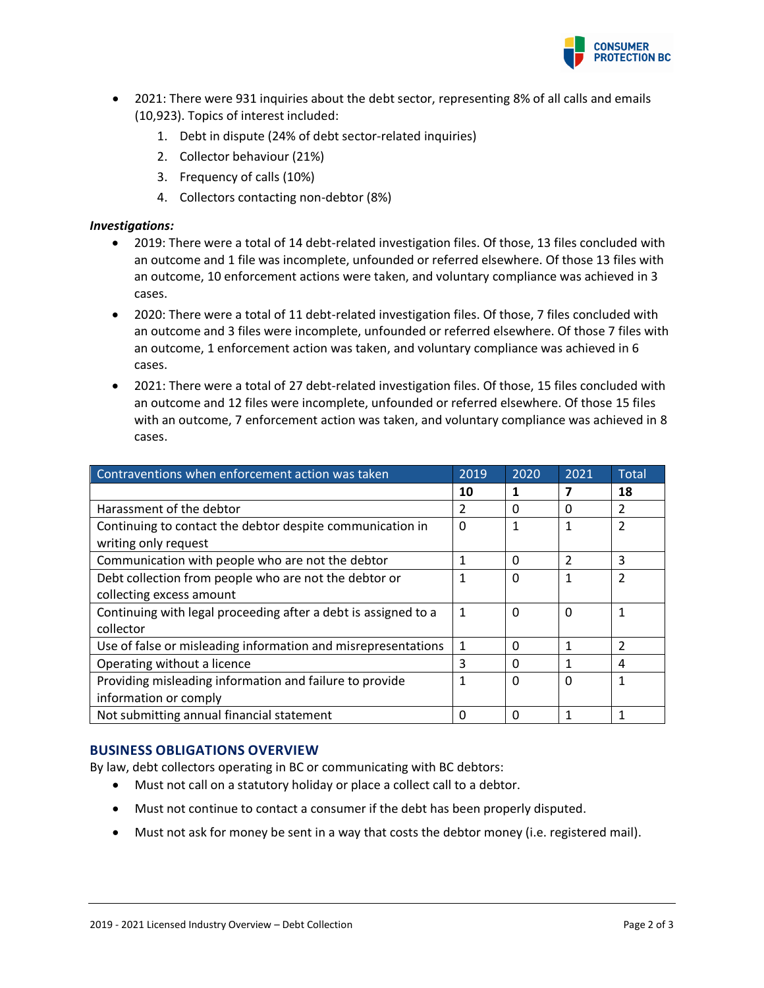

- 2021: There were 931 inquiries about the debt sector, representing 8% of all calls and emails (10,923). Topics of interest included:
	- 1. Debt in dispute (24% of debt sector-related inquiries)
	- 2. Collector behaviour (21%)
	- 3. Frequency of calls (10%)
	- 4. Collectors contacting non-debtor (8%)

#### *Investigations:*

- 2019: There were a total of 14 debt-related investigation files. Of those, 13 files concluded with an outcome and 1 file was incomplete, unfounded or referred elsewhere. Of those 13 files with an outcome, 10 enforcement actions were taken, and voluntary compliance was achieved in 3 cases.
- 2020: There were a total of 11 debt-related investigation files. Of those, 7 files concluded with an outcome and 3 files were incomplete, unfounded or referred elsewhere. Of those 7 files with an outcome, 1 enforcement action was taken, and voluntary compliance was achieved in 6 cases.
- 2021: There were a total of 27 debt-related investigation files. Of those, 15 files concluded with an outcome and 12 files were incomplete, unfounded or referred elsewhere. Of those 15 files with an outcome, 7 enforcement action was taken, and voluntary compliance was achieved in 8 cases.

| Contraventions when enforcement action was taken                                  | 2019 | 2020     | 2021                     | Total          |
|-----------------------------------------------------------------------------------|------|----------|--------------------------|----------------|
|                                                                                   | 10   |          |                          | 18             |
| Harassment of the debtor                                                          | 2    | 0        | 0                        | 2              |
| Continuing to contact the debtor despite communication in<br>writing only request | 0    | 1        | 1                        |                |
| Communication with people who are not the debtor                                  | 1    | 0        | $\overline{\mathcal{L}}$ | 3              |
| Debt collection from people who are not the debtor or                             | 1    | 0        | 1                        | $\mathfrak{p}$ |
| collecting excess amount                                                          |      |          |                          |                |
| Continuing with legal proceeding after a debt is assigned to a                    | 1    | $\Omega$ | $\mathbf 0$              |                |
| collector                                                                         |      |          |                          |                |
| Use of false or misleading information and misrepresentations                     | 1    | 0        | 1                        | $\mathcal{P}$  |
| Operating without a licence                                                       | 3    | 0        |                          | 4              |
| Providing misleading information and failure to provide                           | 1    | $\Omega$ | $\Omega$                 |                |
| information or comply                                                             |      |          |                          |                |
| Not submitting annual financial statement                                         | 0    | 0        |                          |                |

## **BUSINESS OBLIGATIONS OVERVIEW**

By law, debt collectors operating in BC or communicating with BC debtors:

- Must not call on a statutory holiday or place a collect call to a debtor.
- Must not continue to contact a consumer if the debt has been properly disputed.
- Must not ask for money be sent in a way that costs the debtor money (i.e. registered mail).